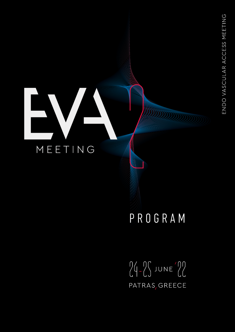## EV **CONTRACTOR** MEETING

## PROGRAM

 $24 - 25$  JUNE 22 PATRAS, GREECE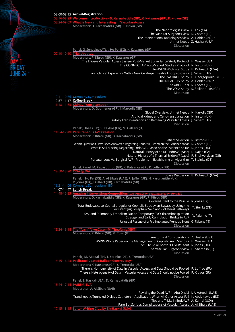|           | 08.00-08.15 Arrival-Registration                                                                                                                               |                                         |
|-----------|----------------------------------------------------------------------------------------------------------------------------------------------------------------|-----------------------------------------|
|           | 08.16-08.23 Welcome Introduction - D. Karnabatidis (GR), K. Katsanos (GR), P. Kitrou (GR)                                                                      |                                         |
|           | 08.24-09.09 What is New and Interesting in Vascular Access<br>Moderators: D. Karnabatidis (GR), P. Kitrou (GR)                                                 |                                         |
|           | The Nephrologist's view C. Lok (CA)                                                                                                                            |                                         |
|           | The Vascular Surgeon's view R. Coscas (FR)                                                                                                                     |                                         |
|           | The Interventional Radiologist's View A. Holden (NZ) *                                                                                                         | Unmet Needs Z. Haskal (USA)             |
|           | Discussion                                                                                                                                                     |                                         |
|           | Panel: G. Sengolge (AT), J. Ho Pei (SG), K. Katsanos (GR)                                                                                                      |                                         |
|           | 09.10-10.10 Trial Updates                                                                                                                                      |                                         |
|           | Moderators: P. Kitrou (GR), K. Katsanos (GR)<br>The Ellipsys Vascular Access System Post-Market Surveillance Study Protocol H. Wasse (USA)                     |                                         |
|           | The CONNECT AV Post-Market Studies Protocol N. Inston (UK)                                                                                                     |                                         |
|           | The AVENEW Clinical Study B. Dolmatch (USA)                                                                                                                    |                                         |
| JUNE 24TH | First Clinical Experience With a New Cell-Impermeable Endoprosthesis J. Gilbert (UK)                                                                           |                                         |
|           | The IN.PACT AV Study A. Holden (NZ)*                                                                                                                           | The EVA DROP Study G. Georgopoulou (GR) |
|           | The ABISS Trial R. Coscas (FR)                                                                                                                                 |                                         |
|           |                                                                                                                                                                | The VOLA Study S. Spiliopoulos (GR)     |
|           | Discussion                                                                                                                                                     |                                         |
|           | 10.11-10.56 Company Symposium<br>10.57-11.17 Coffee Break                                                                                                      |                                         |
|           | 11.18-11.53 Kidney Transplantation                                                                                                                             |                                         |
|           | Moderators: D. Goumenos (GR), I. Maroulis (GR)                                                                                                                 |                                         |
|           | Global Overview. Unmet Needs N. Karydis (GR)<br>Artificial Kidney and Xenotransplantation N. Inston (UK)                                                       |                                         |
|           | Kidney Transplantation and Remaining Vascular Access J. Gilbert (UK)                                                                                           |                                         |
|           | Discussion                                                                                                                                                     |                                         |
|           | Panel: J. Ibeas (SP), S. Kakkos (GR), M. Gallieni (IT)<br>11.54-12.49 Percutaneous AVF Creation                                                                |                                         |
|           | Moderators: P. Kitrou (GR), D. Karnabatidis (GR)                                                                                                               |                                         |
|           | Patient Selection N. Inston (UK)                                                                                                                               |                                         |
|           | Which Questions Have Been Answered Regarding EndoAVF, Based on the Evidence so far R. Coscas (FR)                                                              |                                         |
|           | What is Still Missing Regarding EndoAVF, Based on the Evidence so far R. Jones (UK)<br>Natural History of an RF-EndoAVF (case) D. Rajan (CA)*                  |                                         |
|           | Natural History of a Thermal-EndoAVF (case) R. Shahverdyan (DE)                                                                                                |                                         |
|           | Percutaneous Vs. Surgical AVF - Problems in Establishing an Algorithm T. Steinke (DE)                                                                          |                                         |
|           | Discussion<br>Panel: Panel: M. Papasotiriou (GR), K. Katsanos (GR), R. Loffroy (FR)                                                                            |                                         |
|           | 12.50-13.20 CiDA @ EVA                                                                                                                                         |                                         |
|           |                                                                                                                                                                | Case Discussion B. Dolmatch (USA)       |
|           | Panel: J. Ho Pei (SG), A. Al Sibaie (UAE), R. Jaffer (UK), N. Karunanithy (UK),<br>R. Jones (UK), J. Gilbert (UK), Karnabatidis (GR)                           |                                         |
|           | 13.21-14.06 Company Symposium - BD                                                                                                                             |                                         |
|           | 14.07-14.47 Lunch Break<br>14.48-15.33 Amazing Interventions Competition (supported by an educational grant from BD)                                           |                                         |
|           | Moderators: D. Karnabatidis (GR), K. Katsanos (GR), P. Kitrou (GR)                                                                                             |                                         |
|           | Covered Stent to the Rescue R. Jones (UK)                                                                                                                      |                                         |
|           | Total Endovascular Cephalic Jugular or Cephalic Subclavian Bypass by Using the<br>Persistent Jugulocephalic Vein and Collateral Pathways                       | T. Steinke (DE)                         |
|           | SVC and Pulmonary Embolism Due to Temporary CVC: Thromboaspiration                                                                                             |                                         |
|           | Strategy and Early Cannulation Bridge to AVF                                                                                                                   | V. Palermo (IT)                         |
|           | Unusual Rescue of a Pre-implanted Venous Stent G. Falcone (IT)                                                                                                 |                                         |
|           | Discussion<br>15.34-16.14 The "Arch" [Live Case - M. Theofanis (GR)]                                                                                           |                                         |
|           | Moderators: P. Kitrou (GR), M. Tozzi (IT)                                                                                                                      |                                         |
|           | Anatomical Considerations Z. Haskal (USA)                                                                                                                      |                                         |
|           | ASDIN White Paper on the Management of Cephalic Arch Stenosis H. Wasse (USA)<br>To "COVER" or not to "COVER" Stent R. Jones (UK)                               |                                         |
|           | The Vascular Surgeon's View D. Shemesh (IL)                                                                                                                    |                                         |
|           | Discussion                                                                                                                                                     |                                         |
|           | Panel: J.M. Abadal (SP), T. Steinke (DE), S. Trerotola (USA)<br>16.15-16.43 Paclitaxel-Coated Balloon Controversy                                              |                                         |
|           | Moderators: K. Katsanos (GR), S. Trerotola (USA)                                                                                                               |                                         |
|           | There is Homogeneity of Data in Vascular Access and Data Should be Pooled R. Loffroy (FR)                                                                      |                                         |
|           | There is Heterogeneity of Data in Vascular Access and Data Should not be Pooled P. Kitrou (GR)                                                                 |                                         |
|           | Discussion<br>Panel: Z. Haskal (USA), D. Karnabatidis (GR)                                                                                                     |                                         |
|           | 16.44-17.14 PAIRS @ EVA                                                                                                                                        |                                         |
|           | Moderator: A. Al Sibaie (UAE)                                                                                                                                  |                                         |
|           | Reviving the Dead AVF in Abu Dhabi J. Alkoteesh (UAE)<br>Transhepatic Tunneled Dialysis Catheters - Application: When All Other Access Fail K. Abdeltawab (EG) |                                         |
|           | Tips and Tricks in EndoAVF A. Kamel (USA)                                                                                                                      |                                         |
|           | Rare But Serious Complications of Vascular Access A. Al Sibaie (UAE)                                                                                           |                                         |
|           | 17.15-18.15 Editor Writing Club by Ziv Haskal (USA)                                                                                                            |                                         |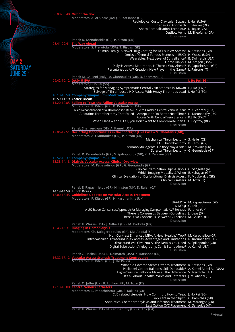|                  | 08.00-08.40 Out of the Box                                                                                                                                                                         |                                 |
|------------------|----------------------------------------------------------------------------------------------------------------------------------------------------------------------------------------------------|---------------------------------|
|                  | Moderators: A. Al Sibaie (UAE), K. Katsanos (GR)                                                                                                                                                   |                                 |
|                  | Radiological Costo-Clavicular Bypass J. Hull (USA)*<br>Inside-Out Approach T. Steinke (DE)<br>Sharp Recanalization Technique D. Rajan (CA)                                                         |                                 |
|                  |                                                                                                                                                                                                    | Outflow Veins M. Theofanis (GR) |
|                  | Discussion<br>Panel: D. Karnabatidis (GR), P. Kitrou (GR)                                                                                                                                          |                                 |
|                  | 08.41-09.41 The Way Ahead                                                                                                                                                                          |                                 |
|                  | Moderators: S. Trerotola (USA), T. Bisdas (GR)                                                                                                                                                     |                                 |
|                  | Olimus Family. A Novel Drug Coating for DCBs in AV Access? K. Katsanos (GR)<br>Omics of Central Venous Stenosis in ESKD H. Wasse (USA)<br>Wearables. Next Level of Surveillance? B. Dolmatch (USA) |                                 |
|                  | Dialysis Access Maturation. Is There a Way Ahead? E. Papachristou (GR)<br>Percutaneous AVF Creation. New Player in the Game? L. Patrone (IT)                                                       | Home Dialysis M. Aragon (USA)   |
| <b>JUNE 25TH</b> | Discussion                                                                                                                                                                                         |                                 |
|                  | Panel: M. Gallieni (Italy), A. Giannoukas (GR), D. Shemesh (IL)                                                                                                                                    |                                 |
|                  | 09.42-10.12 DASy @ EVA                                                                                                                                                                             | J. Ho Pei (SG)                  |
|                  | Moderator: J. Ho Pei (SG)<br>Strategies for Managing Symptomatic Central Vein Stenosis in Taiwan P.J. Ko (TW)*<br>Salvage of Thrombosed HD Access With Heavy Thrombus Load J. Ho Pei (SG)          |                                 |
|                  | 10.13-10.58 Company Symposium - Medtronic                                                                                                                                                          |                                 |
|                  | 10.59-11.19 Coffee Break                                                                                                                                                                           |                                 |
|                  | 11.20-12.05 Failing to Treat the Failing Vascular Access<br>Moderators: P. Kitrou (GR), B. Dolmatch (USA)                                                                                          |                                 |
|                  | Failed Recanalization of a Thrombosed BCAVF due to Crashed Central Venous Stent Y. Al Zahrani (KSA)                                                                                                |                                 |
|                  | A Routine Thrombectomy That Failed - Accept it or Do Better Next Time? N. Karunanithy (UK)                                                                                                         |                                 |
|                  | Access With Central Vein Stenosis P.J. Ko (TW)*                                                                                                                                                    |                                 |
|                  | When Plans A and B Fail, you Don't Want to Compromise Plan C F. Gryffroy (BE)                                                                                                                      |                                 |
|                  | Discussion                                                                                                                                                                                         |                                 |
|                  | Panel: Shahverdyan (DE), A. Kamel (USA)<br>12.06-12.51 Declotting Opportunities in the Spotlight [Live Case - M. Theofanis (GR)]                                                                   |                                 |
|                  | Moderators: A. Giannoukas (GR), P. Kitrou (GR)                                                                                                                                                     |                                 |
|                  | Mechanical Thrombectomy S. Heller (CZ)                                                                                                                                                             |                                 |
|                  | LAB Thrombectomy P. Kitrou (GR)                                                                                                                                                                    |                                 |
|                  | Thrombolytic Agents. Do they play a role? M. Krokidis (GR)<br>Surgical Thrombectomy G. Georgiadis (GR)                                                                                             |                                 |
|                  | Panel: D. Karnabatidis (GR), S. Spiliopoulos (GR), Y. Al Zahrani (KSA)                                                                                                                             |                                 |
|                  | 12.52-13.37 Company Symposium - GORE                                                                                                                                                               |                                 |
|                  | 13.38-14.18 Dialysis Vascular Access. Clinical Overview                                                                                                                                            |                                 |
|                  | Moderators: M. Papasotiriou (GR), G. Georgiadis (GR)                                                                                                                                               |                                 |
|                  | Clinical Examination. Tips & Tricks G. Sengolge (AT)<br>Which Imaging Modality & When E. Kehagias (GR)                                                                                             |                                 |
|                  | Clinical Evaluation of Dysfunctional Dialysis Access K. Moulakakis (GR)                                                                                                                            |                                 |
|                  | Clinical Disasters M. Tozzi (IT)                                                                                                                                                                   |                                 |
|                  | Discussion                                                                                                                                                                                         |                                 |
|                  | Panel: E. Papachristou (GR), N. Inston (UK), D. Rajan (CA)<br>14.19-14.59 Lunch Break                                                                                                              |                                 |
|                  | 15.00-15.45 Guidelines Updates on Vascular Access Treatment                                                                                                                                        |                                 |
|                  | Moderators: P. Kitrou (GR), N. Karunanithy (UK)                                                                                                                                                    |                                 |
|                  |                                                                                                                                                                                                    | ERA-EDTA M. Papasotiriou (GR)   |
|                  |                                                                                                                                                                                                    | K-DOQI C. Lok (CA)              |
|                  | A UK Expert Consensus Approach for Managing Symptomatic AVF Stenosis R. Jones (UK)<br>There is Consensus Between Guidelines J. Ibeas (SP)                                                          |                                 |
|                  | There is No Consensus Between Guidelines M. Gallieni (IT)                                                                                                                                          |                                 |
|                  | Discussion                                                                                                                                                                                         |                                 |
|                  | Panel: H. Wasse (USA), J. Gilbert (UK), M. Krokidis (GR)<br>15.46-16.31 Imaging in Hemodialysis                                                                                                    |                                 |
|                  | Moderators: Ch. Kalogeropoulou (GR), J.M. Abadal (SP)<br>Non-Contrast Enhanced MRA. A New "Healthy" Tool? M. Karachaliou (GR)                                                                      |                                 |
|                  | Intra-Vascular Ultrasound in AV access. Advantages and Limitations N. Karunanithy (UK)                                                                                                             |                                 |
|                  | Ultrasound Will Give You All the Details You Need S. Spiliopoulos (GR)                                                                                                                             |                                 |
|                  | Digital Subtraction Angiography. Can it Stand Alone? A. Kamel (USA)                                                                                                                                |                                 |
|                  | Discussion                                                                                                                                                                                         |                                 |
|                  | Panel: Z. Haskal (USA), B. Dolmatch (USA), K. Katsanos (GR)<br>16.32-17.12 Vascular Access Stenosis Treatment Controversy                                                                          |                                 |
|                  | Moderators: P. Kitrou (GR), J. Ho Pei (SG)                                                                                                                                                         |                                 |
|                  | What did Covered Stents Offer to Treatment K. Katsanos (GR)                                                                                                                                        |                                 |
|                  | Paclitaxel-Coated Balloons. Still Debatable? A. Kamel Abdel Aal (USA)                                                                                                                              |                                 |
|                  | High-Pressure Balloons Make all the Difference S. Trerotola (USA)                                                                                                                                  |                                 |
|                  | It's all About Sheaths, Wires and Catheters J. M. Abadal (SP)<br>Discussion                                                                                                                        |                                 |
|                  | Panel: O. Jaffer (UK), R. Loffroy (FR), M. Tozzi (IT)                                                                                                                                              |                                 |
|                  | 17.13-18.00 Central Venous Catheters                                                                                                                                                               |                                 |
|                  | Moderators: E. Papachristou (GR), S. Kakkos (GR)                                                                                                                                                   |                                 |
|                  | CVC related stenosis. How Common, How to Treat J. Ho Pei (SG)                                                                                                                                      |                                 |
|                  | Tricks are in the "Tips"? G. Bamichas (GR)<br>Antibiotics. Chemoprophylaxis and Infection Treatment M. Marangos (GR)                                                                               |                                 |
|                  | Last Option CVC Placement G. Sengolge (AT)                                                                                                                                                         |                                 |
|                  | Panel: H. Wasse (USA), N. Karunanithy (UK), C. Lok (CA)                                                                                                                                            |                                 |
|                  |                                                                                                                                                                                                    |                                 |